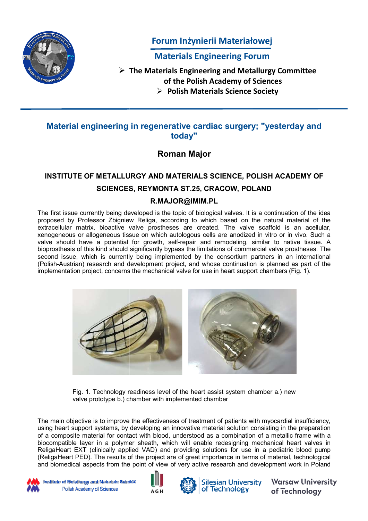

Forum Inżynierii Materiałowej

Materials Engineering Forum Materials Engineering Forum

T The Materials Engineering and Metallurgy Committee he Materials Engineering and Metallurgy Committee

of the Polish Academy of Sciences of the Polish Academy of Sciences

Polish Materials Science Society Polish Materials Science Society

# Material engineering in regenerative cardiac surgery; "yesterday and regenerative cardiac today" Material engineering in regenerative cardiac surgery; "yesterday and

Roman Major

### INSTITUTE OF METALLURGY AND MATERIALS SCIENCE, POLISH ACADEMY OF INSTITUTE OF METALLURGY AND MATERIALS SCIENCE, POLISH ACADEMY OF SCIENCES, REYMONTA ST.25, CRACOW, POLAND SCIENCES, REYMONTA ST.25, CRACOW, POLAND

#### R.MAJOR@IMIM.PL

The first issue currently being developed is the topic of biological valves. It is a continuation of the idea The first issue currently being developed is the topic of biological valves. It is a continuation of the idea proposed by Professor Zbigniew Religa, according to which based on the natural material of the extracellular matrix, bioactive valve prostheses ar e created. The valve scaffold is an acellular, xenogeneous or allogeneous tissue on which autologous cells are anodized in vitro or in vivo. Such a xenogeneous or allogeneous tissue on which autologous cells are anodized in vitro or in vivo. Such a xenogeneous or allogeneous tissue on which autologous cells are anodized in vitro or in vivo. Such a<br>valve should have a potential for growth, self-repair and remodeling, similar to native tissue. A bioprosthesis of this kind should significantly bypass the limitations of commercial valve prostheses. The sis of this kind should significantly bypass the limitations of commercial valve prostheses. The second issue, which is currently being implemented by the consortium partners in an international (Polish-Austrian) research and development project, and whose continuation is planned as part of the implementation project, concerns the mechanical valve for use in heart support chambers (Fig. 1). implementation project, concerns the mechanical valve for use in heart support chambers (Fig. 1). first issue currently being developed is the topic of biological valves. It is a continuation of the idea<br>osed by Professor Zbigniew Religa, according to which based on the natural material of the<br>icellular thesis of this kind should significantly bypass the limitations of commercial valve prostheses. The<br>issue, which is currently being implemented by the consortium partners in an international<br>Austrian) research and developm proposed by Professor Zbigniew Religa, according to which based on the natural material of the second issue, which is currently being implemented by the consortium partners in an international



Fig. 1. Technology readiness level of the heart assist system chamber a.) new Fig. 1. Technology readiness level of the heart assist system chamber a.) new Fig. 1. Technology readiness level of the heart assist s<sub>)</sub><br>valve prototype b.) chamber with implemented chamber

The main objective is to improve the effectiveness of treatment of patients with myocardial insufficiency, The main objective is to improve the effectiveness of treatment of patients with myocardial insufficiency, using heart support systems, by developing an innovative material solution consisting in the preparation of a composite material for contact with blood, understood as a combination of a metallic frame with a biocompatible layer in a polymer sheath, which will enable redesigning mechanical heart valves in biocompatible layer in a polymer sheath, which will enable redesigning mechanical heart valves in ReligaHeart EXT (clinically applied VAD) and providing solutions for use in a pediatric blood pump (ReligaHeart PED). The results of the project are of great importance in terms of material, technological (ReligaHeart PED). The results of the project are of great importance in terms of material, technological and biomedical aspects from the point of view of very active research and development work in Poland and biomedical aspects from the point of view of very active research and development work in Poland is to improve the effectiveness of treatment of patients with myocardial insufficiency, t systems, by developing an innovative material solution consisting in the preparation terial for contact with blood, understood as a using heart support systems, by developing an innovative material solution consisting in the preparation



Institute of Metallurgy and Materials Science Polish Academy of Sciences





Silesian University of Technology in

**Warsaw University** of Technology